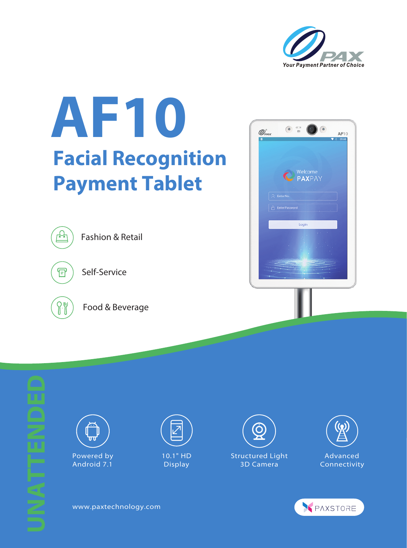

## **AF10 Facial Recognition Payment Tablet**







Powered by Android 7.1

**UNATTENDED**



10.1" HD Display









www.paxtechnology.com